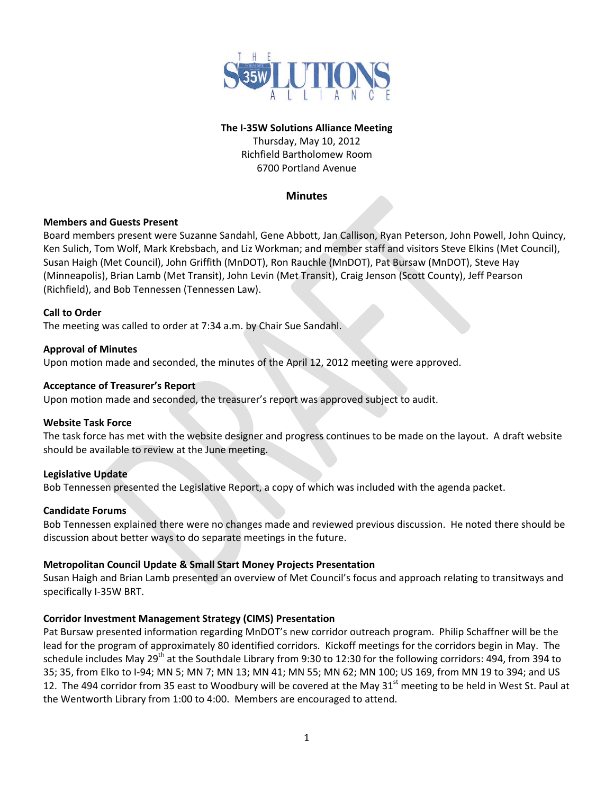

## **The I‐35W Solutions Alliance Meeting**

Thursday, May 10, 2012 Richfield Bartholomew Room 6700 Portland Avenue

#### **Minutes**

#### **Members and Guests Present**

Board members present were Suzanne Sandahl, Gene Abbott, Jan Callison, Ryan Peterson, John Powell, John Quincy, Ken Sulich, Tom Wolf, Mark Krebsbach, and Liz Workman; and member staff and visitors Steve Elkins (Met Council), Susan Haigh (Met Council), John Griffith (MnDOT), Ron Rauchle (MnDOT), Pat Bursaw (MnDOT), Steve Hay (Minneapolis), Brian Lamb (Met Transit), John Levin (Met Transit), Craig Jenson (Scott County), Jeff Pearson (Richfield), and Bob Tennessen (Tennessen Law).

## **Call to Order**

The meeting was called to order at 7:34 a.m. by Chair Sue Sandahl.

#### **Approval of Minutes**

Upon motion made and seconded, the minutes of the April 12, 2012 meeting were approved.

#### **Acceptance of Treasurer's Report**

Upon motion made and seconded, the treasurer's report was approved subject to audit.

#### **Website Task Force**

The task force has met with the website designer and progress continues to be made on the layout. A draft website should be available to review at the June meeting.

#### **Legislative Update**

Bob Tennessen presented the Legislative Report, a copy of which was included with the agenda packet.

#### **Candidate Forums**

Bob Tennessen explained there were no changes made and reviewed previous discussion. He noted there should be discussion about better ways to do separate meetings in the future.

#### **Metropolitan Council Update & Small Start Money Projects Presentation**

Susan Haigh and Brian Lamb presented an overview of Met Council's focus and approach relating to transitways and specifically I‐35W BRT.

# **Corridor Investment Management Strategy (CIMS) Presentation**

Pat Bursaw presented information regarding MnDOT's new corridor outreach program. Philip Schaffner will be the lead for the program of approximately 80 identified corridors. Kickoff meetings for the corridors begin in May. The schedule includes May 29<sup>th</sup> at the Southdale Library from 9:30 to 12:30 for the following corridors: 494, from 394 to 35; 35, from Elko to I‐94; MN 5; MN 7; MN 13; MN 41; MN 55; MN 62; MN 100; US 169, from MN 19 to 394; and US 12. The 494 corridor from 35 east to Woodbury will be covered at the May  $31<sup>st</sup>$  meeting to be held in West St. Paul at the Wentworth Library from 1:00 to 4:00. Members are encouraged to attend.